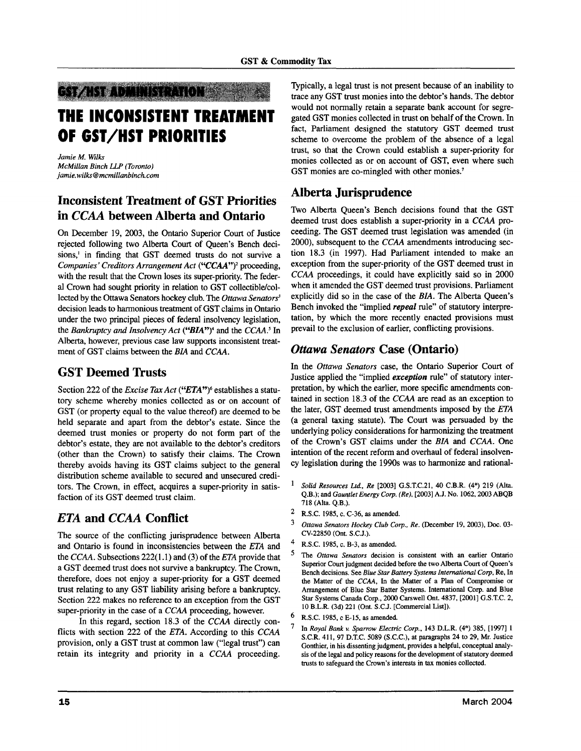## GY**ZKYZ** DAINS (2410)

# **THE INCONSISTENT TREATMENT OF GST/HST PRIORITIES**

*Jamie M. Wilks McMillan Binch LLP (Toronto) jamie. wilks® mcmillanbinch. com*

# **Inconsistent Treatment of GST Priorities in** *CCAA* **between Alberta and Ontario**

On December 19, 2003, the Ontario Superior Court of Justice rejected following two Alberta Court of Queen's Bench decisions,' in finding that GST deemed trusts do not survive a Companies' Creditors Arrangement Act ("CCAA")<sup>2</sup> proceeding, with the result that the Crown loses its super-priority. The federal Crown had sought priority in relation to GST collectible/collected by the Ottawa Senators hockey club. The *Ottawa Senators<sup>3</sup>* decision leads to harmonious treatment of GST claims in Ontario under the two principal pieces of federal insolvency legislation, the Bankruptcy and Insolvency Act ("BIA")<sup>4</sup> and the CCAA.<sup>5</sup> In Alberta, however, previous case law supports inconsistent treatment of GST claims between the *BIA* and *CCAA.*

## **GST Deemed Trusts**

Section 222 of the *Excise Tax Act* ("*ETA*")<sup>6</sup> establishes a statutory scheme whereby monies collected as or on account of GST (or property equal to the value thereof) are deemed to be held separate and apart from the debtor's estate. Since the deemed trust monies or property do not form part of the debtor's estate, they are not available to the debtor's creditors (other than the Crown) to satisfy their claims. The Crown thereby avoids having its GST claims subject to the general distribution scheme available to secured and unsecured creditors. The Crown, in effect, acquires a super-priority in satisfaction of its GST deemed trust claim.

# *ETA* **and** *CCAA* **Conflict**

The source of the conflicting jurisprudence between Alberta and Ontario is found in inconsistencies between the *ETA* and the CCAA. Subsections 222(1.1) and (3) of the *ETA* provide that a GST deemed trust does not survive a bankruptcy. The Crown, therefore, does not enjoy a super-priority for a GST deemed trust relating to any GST liability arising before a bankruptcy. Section 222 makes no reference to an exception from the GST super-priority in the case of a CCAA proceeding, however.

In this regard, section 18.3 of the CCAA directly conflicts with section 222 of the *ETA.* According to this CCAA provision, only a GST trust at common law ("legal trust") can retain its integrity and priority in a CCAA proceeding.

Typically, a legal trust is not present because of an inability to trace any GST trust monies into the debtor's hands. The debtor would not normally retain a separate bank account for segregated GST monies collected in trust on behalf of the Crown. In fact, Parliament designed the statutory GST deemed trust scheme to overcome the problem of the absence of a legal trust, so that the Crown could establish a super-priority for monies collected as or on account of GST, even where such GST monies are co-mingled with other monies.<sup>7</sup>

## **Alberta Jurisprudence**

Two Alberta Queen's Bench decisions found that the GST deemed trust does establish a super-priority in a CCAA proceeding. The GST deemed trust legislation was amended (in 2000), subsequent to the CCAA amendments introducing section 18.3 (in 1997). Had Parliament intended to make an exception from the super-priority of the GST deemed trust in CCAA proceedings, it could have explicitly said so in 2000 when it amended the GST deemed trust provisions. Parliament explicitly did so in the case of the *BIA.* The Alberta Queen's Bench invoked the "implied *repeal* rule" of statutory interpretation, by which the more recently enacted provisions must prevail to the exclusion of earlier, conflicting provisions.

#### *Ottawa Senators* **Case (Ontario)**

In the *Ottawa Senators* case, the Ontario Superior Court of Justice applied the "implied *exception* rule" of statutory interpretation, by which the earlier, more specific amendments contained in section 18.3 of the CCAA are read as an exception to the later, GST deemed trust amendments imposed by the *ETA* (a general taxing statute). The Court was persuaded by the underlying policy considerations for harmonizing the treatment of the Crown's GST claims under the *BIA* and CCAA. One intention of the recent reform and overhaul of federal insolvency legislation during the 1990s was to harmonize and rational-

- *Solid Resources Ltd., Re* [2003] G.S.T.C.21, 40 C.B.R. (4\*) 219 (Alta. Q.B.); and *Gauntlet Energy Corp. (Re),* [2003] A.J. No. 1062,2003 ABQB 718 (Alta. Q.B.).
- $\overline{2}$ R.S.C. 1985, c. C-36, as amended.
- 3 *Ottawa Senators Hockey Club Corp., Re.* (December 19, 2003), Doc. 03- CV-22850 (Ont. S.C.J.).
- $\overline{A}$ R.S.C. 1985, c. B-3, as amended.
- 5 The *Ottawa Senators* decision is consistent with an earlier Ontario Superior Court judgment decided before the two Alberta Court of Queen's Bench decisions. See *Blue Star Battery Systems International Corp,* Re, In the Matter of the *CCAA,* In the Matter of a Plan of Compromise or Arrangement of Blue Star Batter Systems. International Corp. and Blue Star Systems Canada Corp., 2000 Carswell Ont. 4837, [2001] G.S.T.C. 2, 10 B.L.R. (3d) 221 (Ont. S.C.J. [Commercial List]).
- 6 R.S.C. 1985, c E-15, as amended.
- $\overline{7}$ In *Royal Bank v. Sparrow Electric Corp.,* 143 D.L.R. (4\*) 385, [1997] 1 S.C.R. 411, 97 D.T.C. 5089 (S.C.C.), at paragraphs 24 to 29, Mr. Justice Gonthier, in his dissenting judgment, provides a helpful, conceptual analysis of the legal and policy reasons for the development of statutory deemed trusts to safeguard the Crown's interests in tax monies collected.